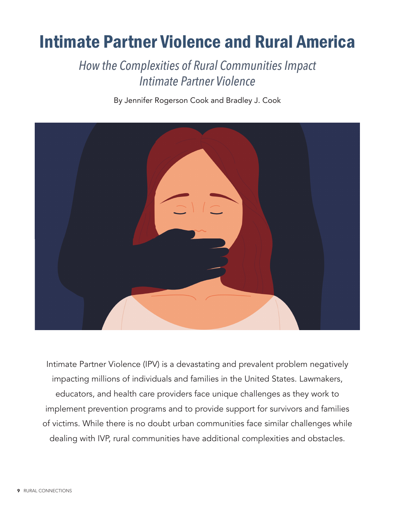## Intimate Partner Violence and Rural America

*How the Complexities of Rural Communities Impact Intimate Partner Violence*

By Jennifer Rogerson Cook and Bradley J. Cook



Intimate Partner Violence (IPV) is a devastating and prevalent problem negatively impacting millions of individuals and families in the United States. Lawmakers, educators, and health care providers face unique challenges as they work to implement prevention programs and to provide support for survivors and families of victims. While there is no doubt urban communities face similar challenges while dealing with IVP, rural communities have additional complexities and obstacles.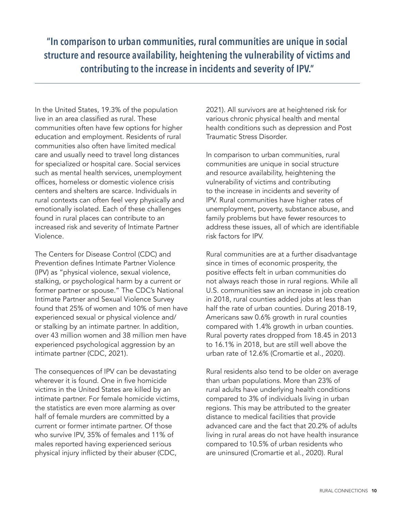**"In comparison to urban communities, rural communities are unique in social structure and resource availability, heightening the vulnerability of victims and contributing to the increase in incidents and severity of IPV."**

In the United States, 19.3% of the population live in an area classified as rural. These communities often have few options for higher education and employment. Residents of rural communities also often have limited medical care and usually need to travel long distances for specialized or hospital care. Social services such as mental health services, unemployment offices, homeless or domestic violence crisis centers and shelters are scarce. Individuals in rural contexts can often feel very physically and emotionally isolated. Each of these challenges found in rural places can contribute to an increased risk and severity of Intimate Partner Violence.

The Centers for Disease Control (CDC) and Prevention defines Intimate Partner Violence (IPV) as "physical violence, sexual violence, stalking, or psychological harm by a current or former partner or spouse." The CDC's National Intimate Partner and Sexual Violence Survey found that 25% of women and 10% of men have experienced sexual or physical violence and/ or stalking by an intimate partner. In addition, over 43 million women and 38 million men have experienced psychological aggression by an intimate partner (CDC, 2021).

The consequences of IPV can be devastating wherever it is found. One in five homicide victims in the United States are killed by an intimate partner. For female homicide victims, the statistics are even more alarming as over half of female murders are committed by a current or former intimate partner. Of those who survive IPV, 35% of females and 11% of males reported having experienced serious physical injury inflicted by their abuser (CDC,

2021). All survivors are at heightened risk for various chronic physical health and mental health conditions such as depression and Post Traumatic Stress Disorder.

In comparison to urban communities, rural communities are unique in social structure and resource availability, heightening the vulnerability of victims and contributing to the increase in incidents and severity of IPV. Rural communities have higher rates of unemployment, poverty, substance abuse, and family problems but have fewer resources to address these issues, all of which are identifiable risk factors for IPV.

Rural communities are at a further disadvantage since in times of economic prosperity, the positive effects felt in urban communities do not always reach those in rural regions. While all U.S. communities saw an increase in job creation in 2018, rural counties added jobs at less than half the rate of urban counties. During 2018-19, Americans saw 0.6% growth in rural counties compared with 1.4% growth in urban counties. Rural poverty rates dropped from 18.45 in 2013 to 16.1% in 2018, but are still well above the urban rate of 12.6% (Cromartie et al., 2020).

Rural residents also tend to be older on average than urban populations. More than 23% of rural adults have underlying health conditions compared to 3% of individuals living in urban regions. This may be attributed to the greater distance to medical facilities that provide advanced care and the fact that 20.2% of adults living in rural areas do not have health insurance compared to 10.5% of urban residents who are uninsured (Cromartie et al., 2020). Rural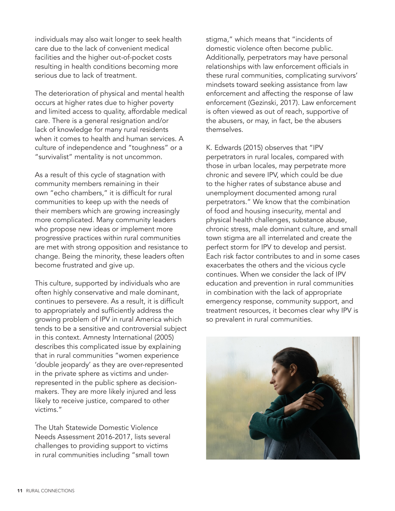individuals may also wait longer to seek health care due to the lack of convenient medical facilities and the higher out-of-pocket costs resulting in health conditions becoming more serious due to lack of treatment.

The deterioration of physical and mental health occurs at higher rates due to higher poverty and limited access to quality, affordable medical care. There is a general resignation and/or lack of knowledge for many rural residents when it comes to health and human services. A culture of independence and "toughness" or a "survivalist" mentality is not uncommon.

As a result of this cycle of stagnation with community members remaining in their own "echo chambers," it is difficult for rural communities to keep up with the needs of their members which are growing increasingly more complicated. Many community leaders who propose new ideas or implement more progressive practices within rural communities are met with strong opposition and resistance to change. Being the minority, these leaders often become frustrated and give up.

This culture, supported by individuals who are often highly conservative and male dominant, continues to persevere. As a result, it is difficult to appropriately and sufficiently address the growing problem of IPV in rural America which tends to be a sensitive and controversial subject in this context. Amnesty International (2005) describes this complicated issue by explaining that in rural communities "women experience 'double jeopardy' as they are over-represented in the private sphere as victims and underrepresented in the public sphere as decisionmakers. They are more likely injured and less likely to receive justice, compared to other victims."

The Utah Statewide Domestic Violence Needs Assessment 2016-2017, lists several challenges to providing support to victims in rural communities including "small town

stigma," which means that "incidents of domestic violence often become public. Additionally, perpetrators may have personal relationships with law enforcement officials in these rural communities, complicating survivors' mindsets toward seeking assistance from law enforcement and affecting the response of law enforcement (Gezinski, 2017). Law enforcement is often viewed as out of reach, supportive of the abusers, or may, in fact, be the abusers themselves.

K. Edwards (2015) observes that "IPV perpetrators in rural locales, compared with those in urban locales, may perpetrate more chronic and severe IPV, which could be due to the higher rates of substance abuse and unemployment documented among rural perpetrators." We know that the combination of food and housing insecurity, mental and physical health challenges, substance abuse, chronic stress, male dominant culture, and small town stigma are all interrelated and create the perfect storm for IPV to develop and persist. Each risk factor contributes to and in some cases exacerbates the others and the vicious cycle continues. When we consider the lack of IPV education and prevention in rural communities in combination with the lack of appropriate emergency response, community support, and treatment resources, it becomes clear why IPV is so prevalent in rural communities.